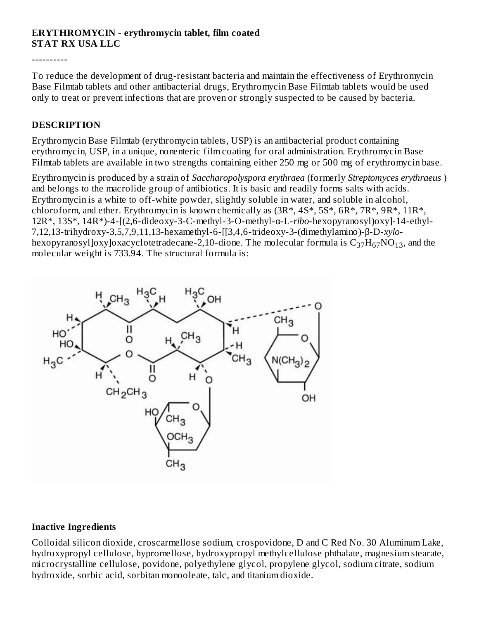### **ERYTHROMYCIN - erythromycin tablet, film coated STAT RX USA LLC**

----------

To reduce the development of drug-resistant bacteria and maintain the effectiveness of Erythromycin Base Filmtab tablets and other antibacterial drugs, Erythromycin Base Filmtab tablets would be used only to treat or prevent infections that are proven or strongly suspected to be caused by bacteria.

#### **DESCRIPTION**

Erythromycin Base Filmtab (erythromycin tablets, USP) is an antibacterial product containing erythromycin, USP, in a unique, nonenteric film coating for oral administration. Erythromycin Base Filmtab tablets are available in two strengths containing either 250 mg or 500 mg of erythromycin base.

Erythromycin is produced by a strain of *Saccharopolyspora erythraea* (formerly *Streptomyces erythraeus* ) and belongs to the macrolide group of antibiotics. It is basic and readily forms salts with acids. Erythromycin is a white to off-white powder, slightly soluble in water, and soluble in alcohol, chloroform, and ether. Erythromycin is known chemically as (3R\*, 4S\*, 5S\*, 6R\*, 7R\*, 9R\*, 11R\*, 12R\*, 13S\*, 14R\*)-4-[(2,6-dideoxy-3-C-methyl-3-O-methyl-α-L-*ribo*-hexopyranosyl)oxy]-14-ethyl-7,12,13-trihydroxy-3,5,7,9,11,13-hexamethyl-6-[[3,4,6-trideoxy-3-(dimethylamino)-β-D-*xylo*hexopyranosyl]oxy]oxacyclotetradecane-2,10-dione. The molecular formula is  $\rm{C_{37}H_{67}NO_{13}}$ , and the molecular weight is 733.94. The structural formula is:



#### **Inactive Ingredients**

Colloidal silicon dioxide, croscarmellose sodium, crospovidone, D and C Red No. 30 Aluminum Lake, hydroxypropyl cellulose, hypromellose, hydroxypropyl methylcellulose phthalate, magnesium stearate, microcrystalline cellulose, povidone, polyethylene glycol, propylene glycol, sodium citrate, sodium hydroxide, sorbic acid, sorbitan monooleate, talc, and titanium dioxide.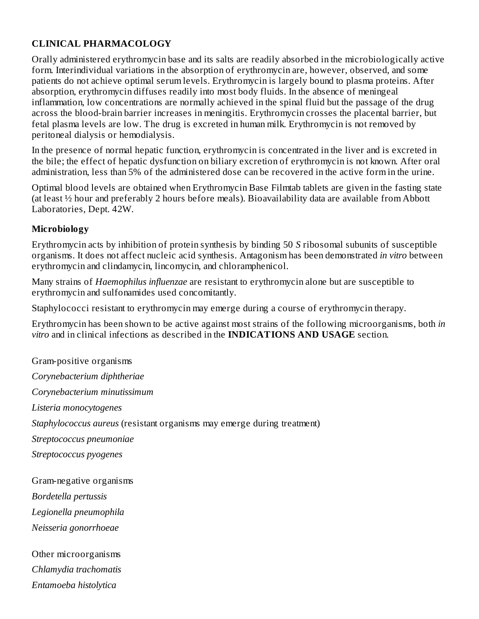### **CLINICAL PHARMACOLOGY**

Orally administered erythromycin base and its salts are readily absorbed in the microbiologically active form. Interindividual variations in the absorption of erythromycin are, however, observed, and some patients do not achieve optimal serum levels. Erythromycin is largely bound to plasma proteins. After absorption, erythromycin diffuses readily into most body fluids. In the absence of meningeal inflammation, low concentrations are normally achieved in the spinal fluid but the passage of the drug across the blood-brain barrier increases in meningitis. Erythromycin crosses the placental barrier, but fetal plasma levels are low. The drug is excreted in human milk. Erythromycin is not removed by peritoneal dialysis or hemodialysis.

In the presence of normal hepatic function, erythromycin is concentrated in the liver and is excreted in the bile; the effect of hepatic dysfunction on biliary excretion of erythromycin is not known. After oral administration, less than 5% of the administered dose can be recovered in the active form in the urine.

Optimal blood levels are obtained when Erythromycin Base Filmtab tablets are given in the fasting state (at least ½ hour and preferably 2 hours before meals). Bioavailability data are available from Abbott Laboratories, Dept. 42W.

### **Microbiology**

Erythromycin acts by inhibition of protein synthesis by binding 50 *S* ribosomal subunits of susceptible organisms. It does not affect nucleic acid synthesis. Antagonism has been demonstrated *in vitro* between erythromycin and clindamycin, lincomycin, and chloramphenicol.

Many strains of *Haemophilus influenzae* are resistant to erythromycin alone but are susceptible to erythromycin and sulfonamides used concomitantly.

Staphylococci resistant to erythromycin may emerge during a course of erythromycin therapy.

Erythromycin has been shown to be active against most strains of the following microorganisms, both *in vitro* and in clinical infections as described in the **INDICATIONS AND USAGE** section.

Gram-positive organisms *Corynebacterium diphtheriae Corynebacterium minutissimum Listeria monocytogenes Staphylococcus aureus* (resistant organisms may emerge during treatment) *Streptococcus pneumoniae Streptococcus pyogenes* Gram-negative organisms *Bordetella pertussis Legionella pneumophila Neisseria gonorrhoeae*

Other microorganisms *Chlamydia trachomatis Entamoeba histolytica*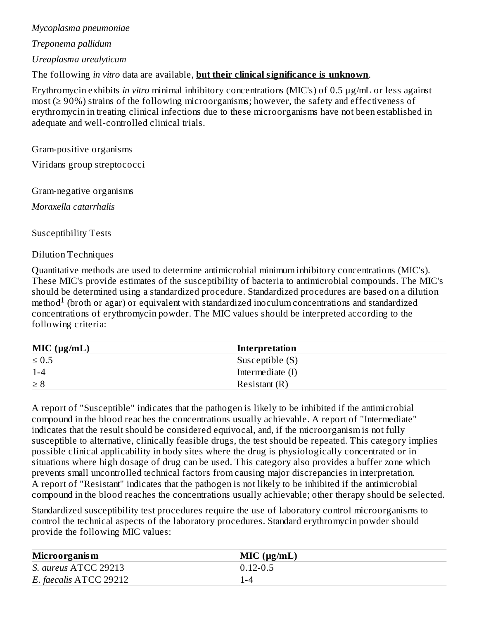*Mycoplasma pneumoniae*

*Treponema pallidum*

*Ureaplasma urealyticum*

The following *in vitro* data are available, **but their clinical significance is unknown**.

Erythromycin exhibits *in vitro* minimal inhibitory concentrations (MIC's) of 0.5 µg/mL or less against most (≥ 90%) strains of the following microorganisms; however, the safety and effectiveness of erythromycin in treating clinical infections due to these microorganisms have not been established in adequate and well-controlled clinical trials.

Gram-positive organisms

Viridans group streptococci

Gram-negative organisms

*Moraxella catarrhalis*

Susceptibility Tests

#### Dilution Techniques

Quantitative methods are used to determine antimicrobial minimum inhibitory concentrations (MIC's). These MIC's provide estimates of the susceptibility of bacteria to antimicrobial compounds. The MIC's should be determined using a standardized procedure. Standardized procedures are based on a dilution  $m$ ethod<sup>1</sup> (broth or agar) or equivalent with standardized inoculum concentrations and standardized concentrations of erythromycin powder. The MIC values should be interpreted according to the following criteria:

| $MIC$ ( $\mu g/mL$ ) | Interpretation   |  |
|----------------------|------------------|--|
| $\leq 0.5$           | Susceptible (S)  |  |
| $1 - 4$              | Intermediate (I) |  |
| $\geq 8$             | Resistant $(R)$  |  |

A report of "Susceptible" indicates that the pathogen is likely to be inhibited if the antimicrobial compound in the blood reaches the concentrations usually achievable. A report of "Intermediate" indicates that the result should be considered equivocal, and, if the microorganism is not fully susceptible to alternative, clinically feasible drugs, the test should be repeated. This category implies possible clinical applicability in body sites where the drug is physiologically concentrated or in situations where high dosage of drug can be used. This category also provides a buffer zone which prevents small uncontrolled technical factors from causing major discrepancies in interpretation. A report of "Resistant" indicates that the pathogen is not likely to be inhibited if the antimicrobial compound in the blood reaches the concentrations usually achievable; other therapy should be selected.

Standardized susceptibility test procedures require the use of laboratory control microorganisms to control the technical aspects of the laboratory procedures. Standard erythromycin powder should provide the following MIC values:

| Microorganism          | MIC (µg/mL)  |
|------------------------|--------------|
| S. aureus ATCC 29213   | $0.12 - 0.5$ |
| E. faecalis ATCC 29212 | 1-4          |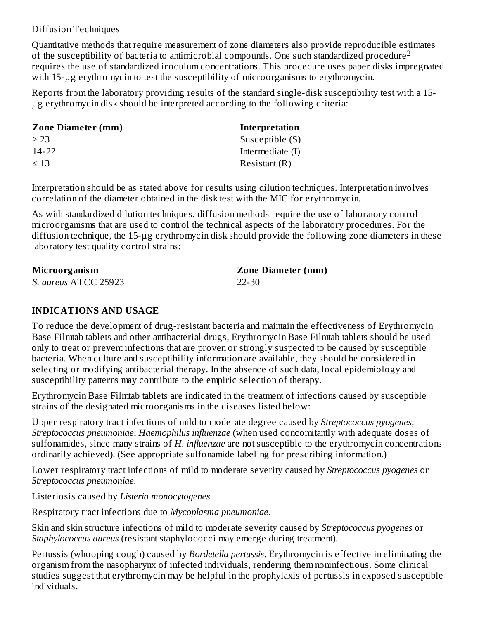### Diffusion Techniques

Quantitative methods that require measurement of zone diameters also provide reproducible estimates of the susceptibility of bacteria to antimicrobial compounds. One such standardized procedure<sup>2</sup> requires the use of standardized inoculum concentrations. This procedure uses paper disks impregnated with 15-µg erythromycin to test the susceptibility of microorganisms to erythromycin.

Reports from the laboratory providing results of the standard single-disk susceptibility test with a 15 µg erythromycin disk should be interpreted according to the following criteria:

| <b>Zone Diameter (mm)</b> | Interpretation   |  |
|---------------------------|------------------|--|
| $\geq$ 23                 | Susceptible (S)  |  |
| $14 - 22$                 | Intermediate (I) |  |
| $\leq 13$                 | Resistant $(R)$  |  |

Interpretation should be as stated above for results using dilution techniques. Interpretation involves correlation of the diameter obtained in the disk test with the MIC for erythromycin.

As with standardized dilution techniques, diffusion methods require the use of laboratory control microorganisms that are used to control the technical aspects of the laboratory procedures. For the diffusion technique, the 15-µg erythromycin disk should provide the following zone diameters in these laboratory test quality control strains:

| Microorganism        | <b>Zone Diameter (mm)</b> |
|----------------------|---------------------------|
| S. aureus ATCC 25923 | 22-30                     |

### **INDICATIONS AND USAGE**

To reduce the development of drug-resistant bacteria and maintain the effectiveness of Erythromycin Base Filmtab tablets and other antibacterial drugs, Erythromycin Base Filmtab tablets should be used only to treat or prevent infections that are proven or strongly suspected to be caused by susceptible bacteria. When culture and susceptibility information are available, they should be considered in selecting or modifying antibacterial therapy. In the absence of such data, local epidemiology and susceptibility patterns may contribute to the empiric selection of therapy.

Erythromycin Base Filmtab tablets are indicated in the treatment of infections caused by susceptible strains of the designated microorganisms in the diseases listed below:

Upper respiratory tract infections of mild to moderate degree caused by *Streptococcus pyogenes*; *Streptococcus pneumoniae*; *Haemophilus influenzae* (when used concomitantly with adequate doses of sulfonamides, since many strains of *H. influenzae* are not susceptible to the erythromycin concentrations ordinarily achieved). (See appropriate sulfonamide labeling for prescribing information.)

Lower respiratory tract infections of mild to moderate severity caused by *Streptococcus pyogenes* or *Streptococcus pneumoniae*.

Listeriosis caused by *Listeria monocytogenes*.

Respiratory tract infections due to *Mycoplasma pneumoniae*.

Skin and skin structure infections of mild to moderate severity caused by *Streptococcus pyogenes* or *Staphylococcus aureus* (resistant staphylococci may emerge during treatment).

Pertussis (whooping cough) caused by *Bordetella pertussis*. Erythromycin is effective in eliminating the organism from the nasopharynx of infected individuals, rendering them noninfectious. Some clinical studies suggest that erythromycin may be helpful in the prophylaxis of pertussis in exposed susceptible individuals.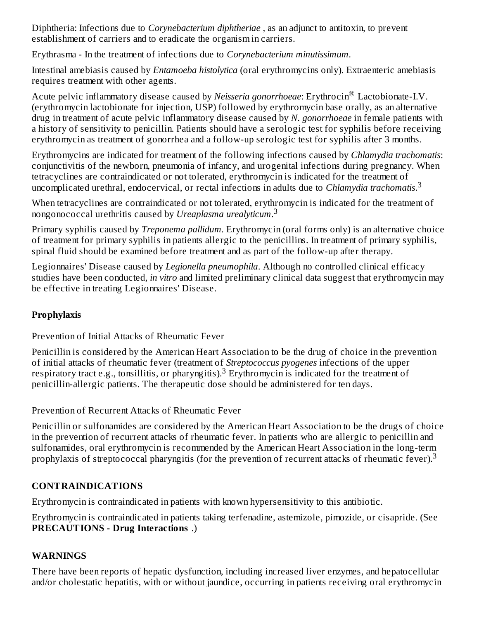Diphtheria: Infections due to *Corynebacterium diphtheriae* , as an adjunct to antitoxin, to prevent establishment of carriers and to eradicate the organism in carriers.

Erythrasma - In the treatment of infections due to *Corynebacterium minutissimum*.

Intestinal amebiasis caused by *Entamoeba histolytica* (oral erythromycins only). Extraenteric amebiasis requires treatment with other agents.

Acute pelvic inflammatory disease caused by *Neisseria gonorrhoeae*: Erythrocin<sup>®</sup> Lactobionate-I.V. (erythromycin lactobionate for injection, USP) followed by erythromycin base orally, as an alternative drug in treatment of acute pelvic inflammatory disease caused by *N. gonorrhoeae* in female patients with a history of sensitivity to penicillin. Patients should have a serologic test for syphilis before receiving erythromycin as treatment of gonorrhea and a follow-up serologic test for syphilis after 3 months.

Erythromycins are indicated for treatment of the following infections caused by *Chlamydia trachomatis*: conjunctivitis of the newborn, pneumonia of infancy, and urogenital infections during pregnancy. When tetracyclines are contraindicated or not tolerated, erythromycin is indicated for the treatment of uncomplicated urethral, endocervical, or rectal infections in adults due to *Chlamydia trachomatis*. 3

When tetracyclines are contraindicated or not tolerated, erythromycin is indicated for the treatment of nongonococcal urethritis caused by *Ureaplasma urealyticum*. 3

Primary syphilis caused by *Treponema pallidum*. Erythromycin (oral forms only) is an alternative choice of treatment for primary syphilis in patients allergic to the penicillins. In treatment of primary syphilis, spinal fluid should be examined before treatment and as part of the follow-up after therapy.

Legionnaires' Disease caused by *Legionella pneumophila*. Although no controlled clinical efficacy studies have been conducted, *in vitro* and limited preliminary clinical data suggest that erythromycin may be effective in treating Legionnaires' Disease.

# **Prophylaxis**

Prevention of Initial Attacks of Rheumatic Fever

Penicillin is considered by the American Heart Association to be the drug of choice in the prevention of initial attacks of rheumatic fever (treatment of *Streptococcus pyogenes* infections of the upper respiratory tract e.g., tonsillitis, or pharyngitis).<sup>3</sup> Erythromycin is indicated for the treatment of penicillin-allergic patients. The therapeutic dose should be administered for ten days.

Prevention of Recurrent Attacks of Rheumatic Fever

Penicillin or sulfonamides are considered by the American Heart Association to be the drugs of choice in the prevention of recurrent attacks of rheumatic fever. In patients who are allergic to penicillin and sulfonamides, oral erythromycin is recommended by the American Heart Association in the long-term prophylaxis of streptococcal pharyngitis (for the prevention of recurrent attacks of rheumatic fever).<sup>3</sup>

## **CONTRAINDICATIONS**

Erythromycin is contraindicated in patients with known hypersensitivity to this antibiotic.

Erythromycin is contraindicated in patients taking terfenadine, astemizole, pimozide, or cisapride. (See **PRECAUTIONS - Drug Interactions** .)

## **WARNINGS**

There have been reports of hepatic dysfunction, including increased liver enzymes, and hepatocellular and/or cholestatic hepatitis, with or without jaundice, occurring in patients receiving oral erythromycin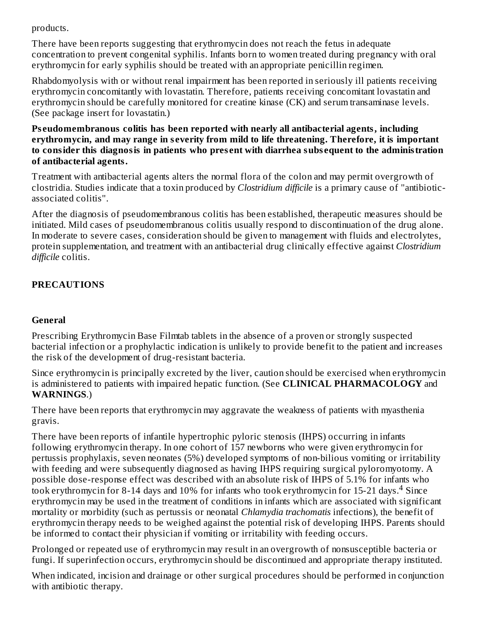products.

There have been reports suggesting that erythromycin does not reach the fetus in adequate concentration to prevent congenital syphilis. Infants born to women treated during pregnancy with oral erythromycin for early syphilis should be treated with an appropriate penicillin regimen.

Rhabdomyolysis with or without renal impairment has been reported in seriously ill patients receiving erythromycin concomitantly with lovastatin. Therefore, patients receiving concomitant lovastatin and erythromycin should be carefully monitored for creatine kinase (CK) and serum transaminase levels. (See package insert for lovastatin.)

**Ps eudomembranous colitis has been reported with nearly all antibacterial agents, including erythromycin, and may range in s everity from mild to life threatening. Therefore, it is important to consider this diagnosis in patients who pres ent with diarrhea subs equent to the administration of antibacterial agents.**

Treatment with antibacterial agents alters the normal flora of the colon and may permit overgrowth of clostridia. Studies indicate that a toxin produced by *Clostridium difficile* is a primary cause of "antibioticassociated colitis".

After the diagnosis of pseudomembranous colitis has been established, therapeutic measures should be initiated. Mild cases of pseudomembranous colitis usually respond to discontinuation of the drug alone. In moderate to severe cases, consideration should be given to management with fluids and electrolytes, protein supplementation, and treatment with an antibacterial drug clinically effective against *Clostridium difficile* colitis.

# **PRECAUTIONS**

## **General**

Prescribing Erythromycin Base Filmtab tablets in the absence of a proven or strongly suspected bacterial infection or a prophylactic indication is unlikely to provide benefit to the patient and increases the risk of the development of drug-resistant bacteria.

Since erythromycin is principally excreted by the liver, caution should be exercised when erythromycin is administered to patients with impaired hepatic function. (See **CLINICAL PHARMACOLOGY** and **WARNINGS**.)

There have been reports that erythromycin may aggravate the weakness of patients with myasthenia gravis.

There have been reports of infantile hypertrophic pyloric stenosis (IHPS) occurring in infants following erythromycin therapy. In one cohort of 157 newborns who were given erythromycin for pertussis prophylaxis, seven neonates (5%) developed symptoms of non-bilious vomiting or irritability with feeding and were subsequently diagnosed as having IHPS requiring surgical pyloromyotomy. A possible dose-response effect was described with an absolute risk of IHPS of 5.1% for infants who took erythromycin for 8-14 days and 10% for infants who took erythromycin for 15-21 days. $4$  Since erythromycin may be used in the treatment of conditions in infants which are associated with significant mortality or morbidity (such as pertussis or neonatal *Chlamydia trachomatis* infections), the benefit of erythromycin therapy needs to be weighed against the potential risk of developing IHPS. Parents should be informed to contact their physician if vomiting or irritability with feeding occurs.

Prolonged or repeated use of erythromycin may result in an overgrowth of nonsusceptible bacteria or fungi. If superinfection occurs, erythromycin should be discontinued and appropriate therapy instituted.

When indicated, incision and drainage or other surgical procedures should be performed in conjunction with antibiotic therapy.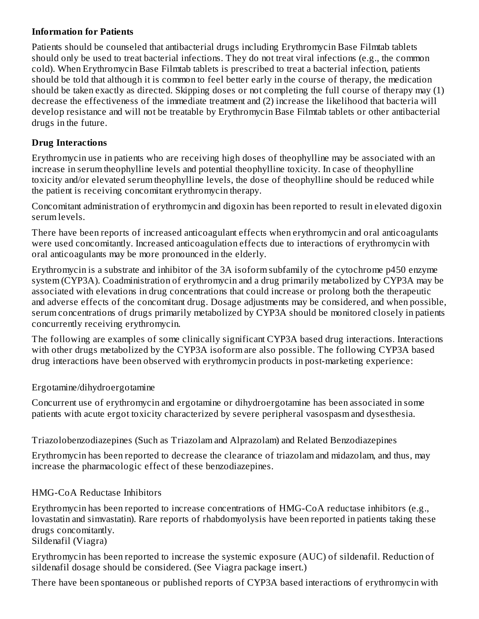### **Information for Patients**

Patients should be counseled that antibacterial drugs including Erythromycin Base Filmtab tablets should only be used to treat bacterial infections. They do not treat viral infections (e.g., the common cold). When Erythromycin Base Filmtab tablets is prescribed to treat a bacterial infection, patients should be told that although it is common to feel better early in the course of therapy, the medication should be taken exactly as directed. Skipping doses or not completing the full course of therapy may (1) decrease the effectiveness of the immediate treatment and (2) increase the likelihood that bacteria will develop resistance and will not be treatable by Erythromycin Base Filmtab tablets or other antibacterial drugs in the future.

### **Drug Interactions**

Erythromycin use in patients who are receiving high doses of theophylline may be associated with an increase in serum theophylline levels and potential theophylline toxicity. In case of theophylline toxicity and/or elevated serum theophylline levels, the dose of theophylline should be reduced while the patient is receiving concomitant erythromycin therapy.

Concomitant administration of erythromycin and digoxin has been reported to result in elevated digoxin serum levels.

There have been reports of increased anticoagulant effects when erythromycin and oral anticoagulants were used concomitantly. Increased anticoagulation effects due to interactions of erythromycin with oral anticoagulants may be more pronounced in the elderly.

Erythromycin is a substrate and inhibitor of the 3A isoform subfamily of the cytochrome p450 enzyme system (CYP3A). Coadministration of erythromycin and a drug primarily metabolized by CYP3A may be associated with elevations in drug concentrations that could increase or prolong both the therapeutic and adverse effects of the concomitant drug. Dosage adjustments may be considered, and when possible, serum concentrations of drugs primarily metabolized by CYP3A should be monitored closely in patients concurrently receiving erythromycin.

The following are examples of some clinically significant CYP3A based drug interactions. Interactions with other drugs metabolized by the CYP3A isoform are also possible. The following CYP3A based drug interactions have been observed with erythromycin products in post-marketing experience:

Ergotamine/dihydroergotamine

Concurrent use of erythromycin and ergotamine or dihydroergotamine has been associated in some patients with acute ergot toxicity characterized by severe peripheral vasospasm and dysesthesia.

Triazolobenzodiazepines (Such as Triazolam and Alprazolam) and Related Benzodiazepines

Erythromycin has been reported to decrease the clearance of triazolam and midazolam, and thus, may increase the pharmacologic effect of these benzodiazepines.

## HMG-CoA Reductase Inhibitors

Erythromycin has been reported to increase concentrations of HMG-CoA reductase inhibitors (e.g., lovastatin and simvastatin). Rare reports of rhabdomyolysis have been reported in patients taking these drugs concomitantly.

Sildenafil (Viagra)

Erythromycin has been reported to increase the systemic exposure (AUC) of sildenafil. Reduction of sildenafil dosage should be considered. (See Viagra package insert.)

There have been spontaneous or published reports of CYP3A based interactions of erythromycin with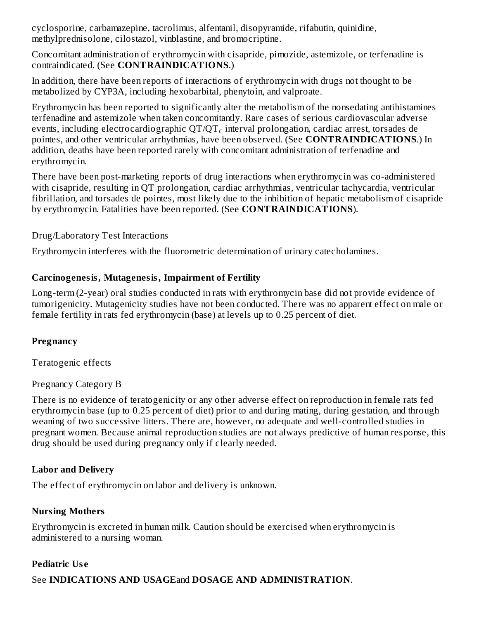cyclosporine, carbamazepine, tacrolimus, alfentanil, disopyramide, rifabutin, quinidine, methylprednisolone, cilostazol, vinblastine, and bromocriptine.

Concomitant administration of erythromycin with cisapride, pimozide, astemizole, or terfenadine is contraindicated. (See **CONTRAINDICATIONS**.)

In addition, there have been reports of interactions of erythromycin with drugs not thought to be metabolized by CYP3A, including hexobarbital, phenytoin, and valproate.

Erythromycin has been reported to significantly alter the metabolism of the nonsedating antihistamines terfenadine and astemizole when taken concomitantly. Rare cases of serious cardiovascular adverse events, including electrocardiographic QT/QT $_{\rm c}$  interval prolongation, cardiac arrest, torsades de pointes, and other ventricular arrhythmias, have been observed. (See **CONTRAINDICATIONS**.) In addition, deaths have been reported rarely with concomitant administration of terfenadine and erythromycin.

There have been post-marketing reports of drug interactions when erythromycin was co-administered with cisapride, resulting in QT prolongation, cardiac arrhythmias, ventricular tachycardia, ventricular fibrillation, and torsades de pointes, most likely due to the inhibition of hepatic metabolism of cisapride by erythromycin. Fatalities have been reported. (See **CONTRAINDICATIONS**).

Drug/Laboratory Test Interactions

Erythromycin interferes with the fluorometric determination of urinary catecholamines.

## **Carcinogenesis, Mutagenesis, Impairment of Fertility**

Long-term (2-year) oral studies conducted in rats with erythromycin base did not provide evidence of tumorigenicity. Mutagenicity studies have not been conducted. There was no apparent effect on male or female fertility in rats fed erythromycin (base) at levels up to 0.25 percent of diet.

## **Pregnancy**

Teratogenic effects

Pregnancy Category B

There is no evidence of teratogenicity or any other adverse effect on reproduction in female rats fed erythromycin base (up to 0.25 percent of diet) prior to and during mating, during gestation, and through weaning of two successive litters. There are, however, no adequate and well-controlled studies in pregnant women. Because animal reproduction studies are not always predictive of human response, this drug should be used during pregnancy only if clearly needed.

## **Labor and Delivery**

The effect of erythromycin on labor and delivery is unknown.

# **Nursing Mothers**

Erythromycin is excreted in human milk. Caution should be exercised when erythromycin is administered to a nursing woman.

# **Pediatric Us e**

See **INDICATIONS AND USAGE**and **DOSAGE AND ADMINISTRATION**.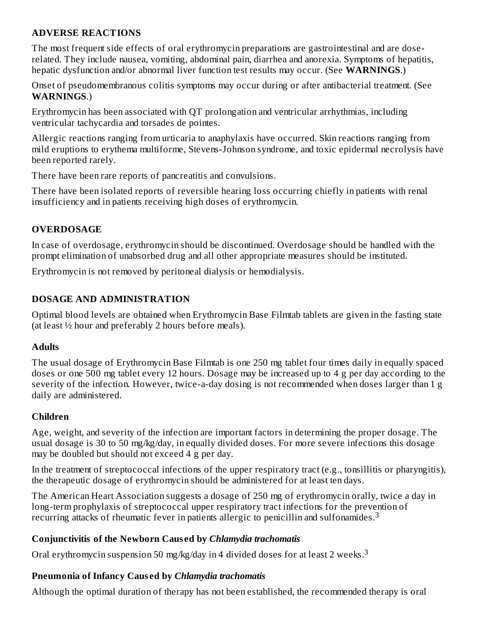### **ADVERSE REACTIONS**

The most frequent side effects of oral erythromycin preparations are gastrointestinal and are doserelated. They include nausea, vomiting, abdominal pain, diarrhea and anorexia. Symptoms of hepatitis, hepatic dysfunction and/or abnormal liver function test results may occur. (See **WARNINGS**.)

Onset of pseudomembranous colitis symptoms may occur during or after antibacterial treatment. (See **WARNINGS**.)

Erythromycin has been associated with QT prolongation and ventricular arrhythmias, including ventricular tachycardia and torsades de pointes.

Allergic reactions ranging from urticaria to anaphylaxis have occurred. Skin reactions ranging from mild eruptions to erythema multiforme, Stevens-Johnson syndrome, and toxic epidermal necrolysis have been reported rarely.

There have been rare reports of pancreatitis and convulsions.

There have been isolated reports of reversible hearing loss occurring chiefly in patients with renal insufficiency and in patients receiving high doses of erythromycin.

# **OVERDOSAGE**

In case of overdosage, erythromycin should be discontinued. Overdosage should be handled with the prompt elimination of unabsorbed drug and all other appropriate measures should be instituted.

Erythromycin is not removed by peritoneal dialysis or hemodialysis.

## **DOSAGE AND ADMINISTRATION**

Optimal blood levels are obtained when Erythromycin Base Filmtab tablets are given in the fasting state (at least ½ hour and preferably 2 hours before meals).

## **Adults**

The usual dosage of Erythromycin Base Filmtab is one 250 mg tablet four times daily in equally spaced doses or one 500 mg tablet every 12 hours. Dosage may be increased up to 4 g per day according to the severity of the infection. However, twice-a-day dosing is not recommended when doses larger than 1 g daily are administered.

## **Children**

Age, weight, and severity of the infection are important factors in determining the proper dosage. The usual dosage is 30 to 50 mg/kg/day, in equally divided doses. For more severe infections this dosage may be doubled but should not exceed 4 g per day.

In the treatment of streptococcal infections of the upper respiratory tract (e.g., tonsillitis or pharyngitis), the therapeutic dosage of erythromycin should be administered for at least ten days.

The American Heart Association suggests a dosage of 250 mg of erythromycin orally, twice a day in long-term prophylaxis of streptococcal upper respiratory tract infections for the prevention of recurring attacks of rheumatic fever in patients allergic to penicillin and sulfonamides.<sup>3</sup>

## **Conjunctivitis of the Newborn Caus ed by** *Chlamydia trachomatis*

Oral erythromycin suspension 50 mg/kg/day in 4 divided doses for at least 2 weeks. $^3$ 

## **Pneumonia of Infancy Caus ed by** *Chlamydia trachomatis*

Although the optimal duration of therapy has not been established, the recommended therapy is oral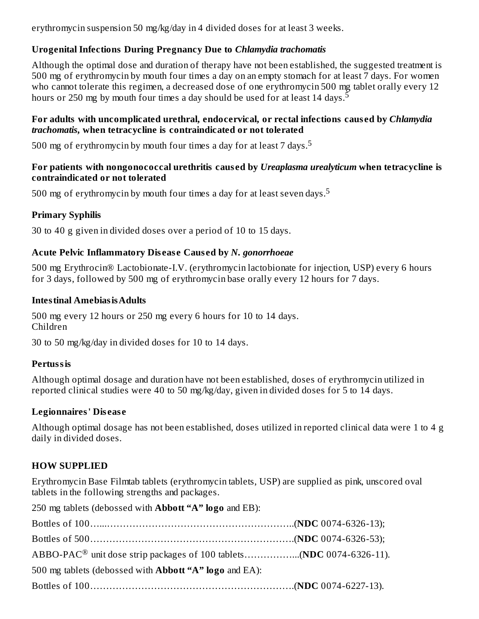erythromycin suspension 50 mg/kg/day in 4 divided doses for at least 3 weeks.

### **Urogenital Infections During Pregnancy Due to** *Chlamydia trachomatis*

Although the optimal dose and duration of therapy have not been established, the suggested treatment is 500 mg of erythromycin by mouth four times a day on an empty stomach for at least 7 days. For women who cannot tolerate this regimen, a decreased dose of one erythromycin 500 mg tablet orally every 12 hours or 250 mg by mouth four times a day should be used for at least 14 days.  $^5$ 

#### **For adults with uncomplicated urethral, endocervical, or rectal infections caus ed by** *Chlamydia trachomatis***, when tetracycline is contraindicated or not tolerated**

500 mg of erythromycin by mouth four times a day for at least 7 days. $^5$ 

#### **For patients with nongonococcal urethritis caus ed by** *Ureaplasma urealyticum* **when tetracycline is contraindicated or not tolerated**

500 mg of erythromycin by mouth four times a day for at least seven days. $^5$ 

### **Primary Syphilis**

30 to 40 g given in divided doses over a period of 10 to 15 days.

### **Acute Pelvic Inflammatory Dis eas e Caus ed by** *N. gonorrhoeae*

500 mg Erythrocin® Lactobionate-I.V. (erythromycin lactobionate for injection, USP) every 6 hours for 3 days, followed by 500 mg of erythromycin base orally every 12 hours for 7 days.

### **Intestinal AmebiasisAdults**

500 mg every 12 hours or 250 mg every 6 hours for 10 to 14 days. Children

30 to 50 mg/kg/day in divided doses for 10 to 14 days.

### **Pertussis**

Although optimal dosage and duration have not been established, doses of erythromycin utilized in reported clinical studies were 40 to 50 mg/kg/day, given in divided doses for 5 to 14 days.

### **Legionnaires' Dis eas e**

Although optimal dosage has not been established, doses utilized in reported clinical data were 1 to 4 g daily in divided doses.

## **HOW SUPPLIED**

Erythromycin Base Filmtab tablets (erythromycin tablets, USP) are supplied as pink, unscored oval tablets in the following strengths and packages.

250 mg tablets (debossed with **Abbott "A" logo** and EB):

| ABBO-PAC <sup>®</sup> unit dose strip packages of 100 tablets(NDC 0074-6326-11). |  |
|----------------------------------------------------------------------------------|--|
| 500 mg tablets (debossed with <b>Abbott "A" logo</b> and EA):                    |  |
|                                                                                  |  |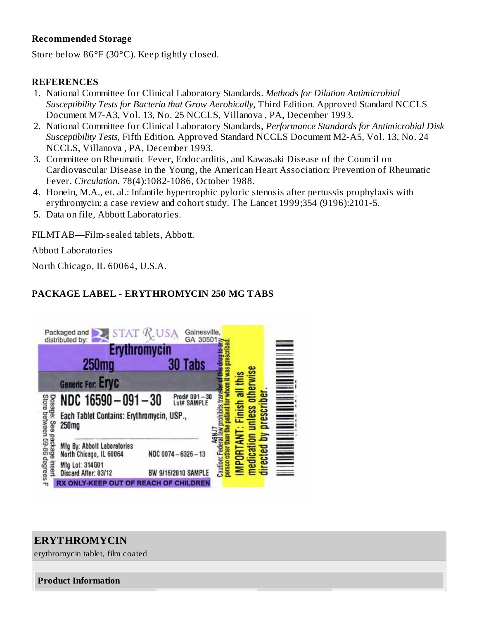### **Recommended Storage**

Store below 86°F (30°C). Keep tightly closed.

#### **REFERENCES**

- 1. National Committee for Clinical Laboratory Standards. *Methods for Dilution Antimicrobial Susceptibility Tests for Bacteria that Grow Aerobically*, Third Edition. Approved Standard NCCLS Document M7-A3, Vol. 13, No. 25 NCCLS, Villanova , PA, December 1993.
- 2. National Committee for Clinical Laboratory Standards, *Performance Standards for Antimicrobial Disk Susceptibility Tests*, Fifth Edition. Approved Standard NCCLS Document M2-A5, Vol. 13, No. 24 NCCLS, Villanova , PA, December 1993.
- 3. Committee on Rheumatic Fever, Endocarditis, and Kawasaki Disease of the Council on Cardiovascular Disease in the Young, the American Heart Association: Prevention of Rheumatic Fever. *Circulation*. 78(4):1082-1086, October 1988.
- 4. Honein, M.A., et. al.: Infantile hypertrophic pyloric stenosis after pertussis prophylaxis with erythromycin: a case review and cohort study. The Lancet 1999;354 (9196):2101-5.
- 5. Data on file, Abbott Laboratories.

FILMTAB—Film-sealed tablets, Abbott.

Abbott Laboratories

North Chicago, IL 60064, U.S.A.

#### **PACKAGE LABEL - ERYTHROMYCIN 250 MG TABS**



#### **ERYTHROMYCIN**

erythromycin tablet, film coated

#### **Product Information**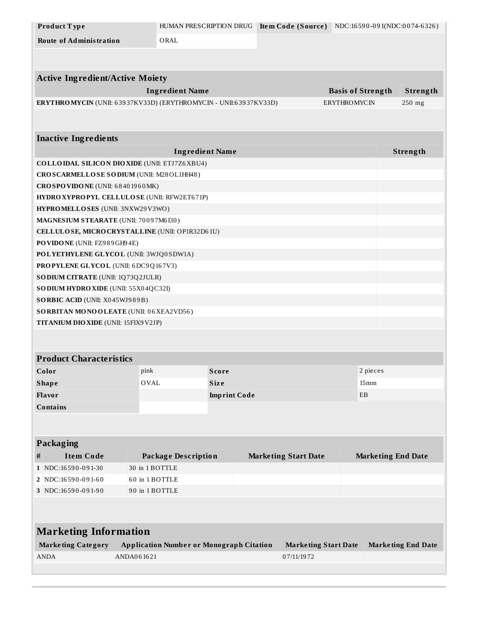| Product Type                                                     | HUMAN PRESCRIPTION DRUG    |                                                                                | Item Code (Source) NDC:16590-091(NDC:0074-6326) |                     |                           |          |
|------------------------------------------------------------------|----------------------------|--------------------------------------------------------------------------------|-------------------------------------------------|---------------------|---------------------------|----------|
| <b>Route of Administration</b>                                   | ORAL                       |                                                                                |                                                 |                     |                           |          |
|                                                                  |                            |                                                                                |                                                 |                     |                           |          |
|                                                                  |                            |                                                                                |                                                 |                     |                           |          |
| <b>Active Ingredient/Active Moiety</b>                           |                            |                                                                                |                                                 |                     |                           |          |
|                                                                  | <b>Ingredient Name</b>     |                                                                                |                                                 |                     | <b>Basis of Strength</b>  | Strength |
| ERYTHROMYCIN (UNII: 63937KV33D) (ERYTHROMYCIN - UNII:63937KV33D) |                            |                                                                                |                                                 | <b>ERYTHROMYCIN</b> |                           | 250 mg   |
|                                                                  |                            |                                                                                |                                                 |                     |                           |          |
| <b>Inactive Ingredients</b>                                      |                            |                                                                                |                                                 |                     |                           |          |
|                                                                  | <b>Ingredient Name</b>     |                                                                                |                                                 |                     |                           | Strength |
| <b>COLLOIDAL SILICON DIOXIDE (UNII: ETJ7Z6XBU4)</b>              |                            |                                                                                |                                                 |                     |                           |          |
| CROSCARMELLOSE SODIUM (UNII: M28OL1HH48)                         |                            |                                                                                |                                                 |                     |                           |          |
| CROSPOVIDONE (UNII: 68401960MK)                                  |                            |                                                                                |                                                 |                     |                           |          |
| HYDROXYPROPYL CELLULOSE (UNII: RFW2ET671P)                       |                            |                                                                                |                                                 |                     |                           |          |
| HYPROMELLOSES (UNII: 3NXW29V3WO)                                 |                            |                                                                                |                                                 |                     |                           |          |
| MAGNESIUM STEARATE (UNII: 70097M6I30)                            |                            |                                                                                |                                                 |                     |                           |          |
| CELLULOSE, MICRO CRYSTALLINE (UNII: OP1R32D61U)                  |                            |                                                                                |                                                 |                     |                           |          |
| PO VIDO NE (UNII: FZ989GH94E)                                    |                            |                                                                                |                                                 |                     |                           |          |
| POLYETHYLENE GLYCOL (UNII: 3WJQ0SDW1A)                           |                            |                                                                                |                                                 |                     |                           |          |
| <b>PROPYLENE GLYCOL</b> (UNII: 6DC9Q167V3)                       |                            |                                                                                |                                                 |                     |                           |          |
| SODIUM CITRATE (UNII: 1Q73Q2JULR)                                |                            |                                                                                |                                                 |                     |                           |          |
| SO DIUM HYDRO XIDE (UNII: 55X04QC32I)                            |                            |                                                                                |                                                 |                     |                           |          |
| SORBIC ACID (UNII: X045WJ989B)                                   |                            |                                                                                |                                                 |                     |                           |          |
| SORBITAN MONOOLEATE (UNII: 06XEA2VD56)                           |                            |                                                                                |                                                 |                     |                           |          |
| TITANIUM DIO XIDE (UNII: 15FIX9 V2JP)                            |                            |                                                                                |                                                 |                     |                           |          |
|                                                                  |                            |                                                                                |                                                 |                     |                           |          |
| <b>Product Characteristics</b>                                   |                            |                                                                                |                                                 |                     |                           |          |
| Color                                                            | pink                       | <b>Score</b>                                                                   |                                                 |                     | 2 pieces                  |          |
| <b>Shape</b>                                                     | <b>OVAL</b>                | <b>Size</b><br>15 <sub>mm</sub>                                                |                                                 |                     |                           |          |
| Flavor                                                           |                            | <b>Imprint Code</b><br>EB                                                      |                                                 |                     |                           |          |
| <b>Contains</b>                                                  |                            |                                                                                |                                                 |                     |                           |          |
|                                                                  |                            |                                                                                |                                                 |                     |                           |          |
|                                                                  |                            |                                                                                |                                                 |                     |                           |          |
| Packaging                                                        |                            |                                                                                |                                                 |                     |                           |          |
| $\#$<br><b>Item Code</b>                                         | <b>Package Description</b> |                                                                                | <b>Marketing Start Date</b>                     |                     | <b>Marketing End Date</b> |          |
| 1 NDC:16590-091-30                                               | 30 in 1 BOTTLE             |                                                                                |                                                 |                     |                           |          |
| 2 NDC:16590-091-60                                               | 60 in 1 BOTTLE             |                                                                                |                                                 |                     |                           |          |
| 3 NDC:16590-091-90                                               | 90 in 1 BOTTLE             |                                                                                |                                                 |                     |                           |          |
|                                                                  |                            |                                                                                |                                                 |                     |                           |          |
| <b>Marketing Information</b>                                     |                            |                                                                                |                                                 |                     |                           |          |
| <b>Marketing Category</b>                                        |                            | <b>Application Number or Monograph Citation</b><br><b>Marketing Start Date</b> |                                                 |                     | <b>Marketing End Date</b> |          |
| <b>ANDA</b>                                                      | ANDA061621                 |                                                                                | 07/11/1972                                      |                     |                           |          |
|                                                                  |                            |                                                                                |                                                 |                     |                           |          |